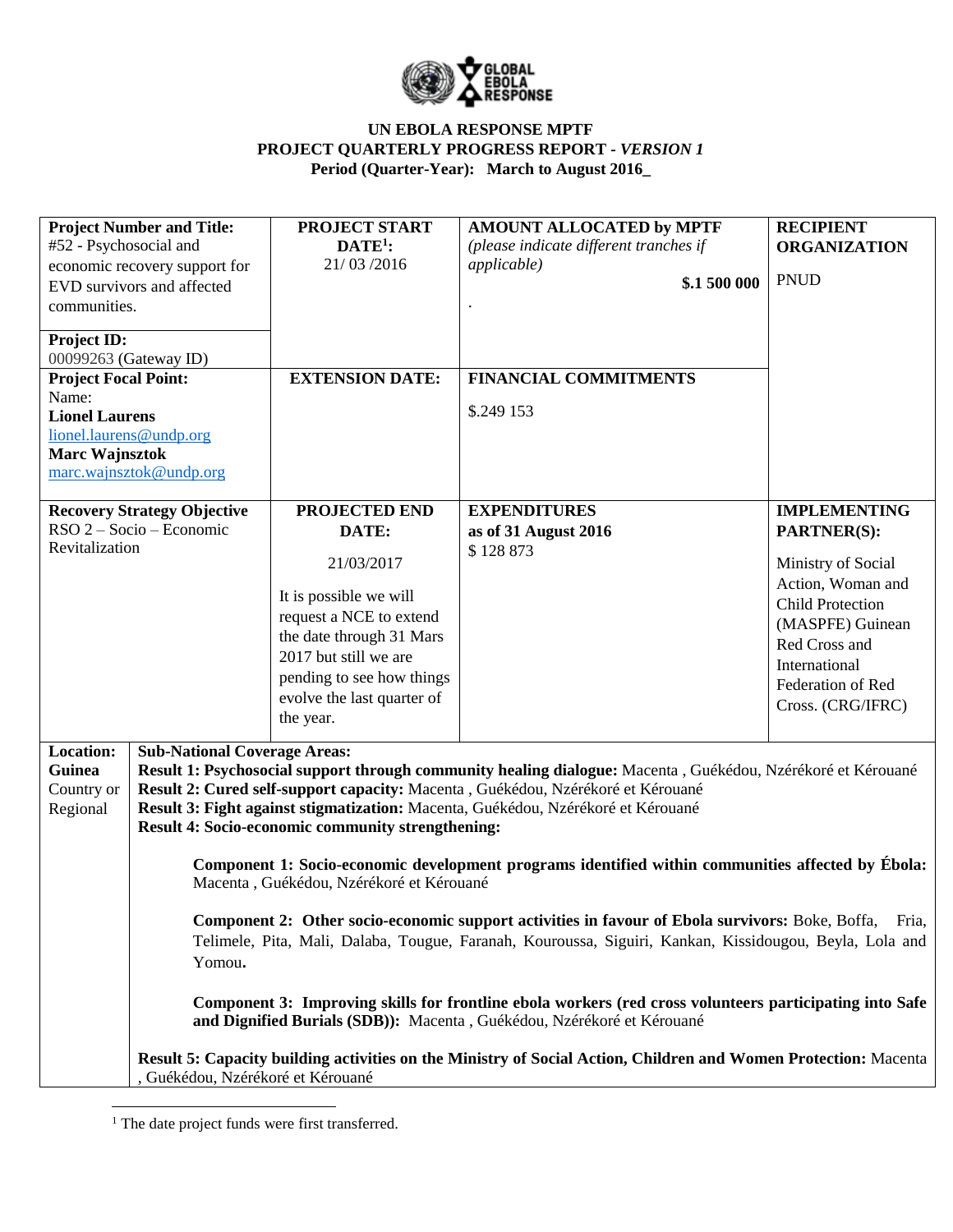

| #52 - Psychosocial and<br>communities.<br>Project ID:<br>00099263 (Gateway ID)<br><b>Project Focal Point:</b><br>Name:<br><b>Lionel Laurens</b><br><b>Marc Wajnsztok</b> | <b>Project Number and Title:</b><br>economic recovery support for<br>EVD survivors and affected<br>lionel.laurens@undp.org<br>marc.wajnsztok@undp.org | <b>PROJECT START</b><br>$\mathbf{DATE}^{1}$ :<br>21/03/2016<br><b>EXTENSION DATE:</b>                                                                                                                                  | AMOUNT ALLOCATED by MPTF<br>(please indicate different tranches if<br><i>applicable</i> )<br>\$.1 500 000<br><b>FINANCIAL COMMITMENTS</b><br>\$.249 153                                                                                                                                                                                                                                                                                                                                                                                                                                                                                                                                                                                                                                                                                                                                                        | <b>RECIPIENT</b><br><b>ORGANIZATION</b><br><b>PNUD</b>                                                                                                                                                          |
|--------------------------------------------------------------------------------------------------------------------------------------------------------------------------|-------------------------------------------------------------------------------------------------------------------------------------------------------|------------------------------------------------------------------------------------------------------------------------------------------------------------------------------------------------------------------------|----------------------------------------------------------------------------------------------------------------------------------------------------------------------------------------------------------------------------------------------------------------------------------------------------------------------------------------------------------------------------------------------------------------------------------------------------------------------------------------------------------------------------------------------------------------------------------------------------------------------------------------------------------------------------------------------------------------------------------------------------------------------------------------------------------------------------------------------------------------------------------------------------------------|-----------------------------------------------------------------------------------------------------------------------------------------------------------------------------------------------------------------|
| <b>Recovery Strategy Objective</b><br>RSO 2 – Socio – Economic<br>Revitalization                                                                                         |                                                                                                                                                       | PROJECTED END<br>DATE:<br>21/03/2017<br>It is possible we will<br>request a NCE to extend<br>the date through 31 Mars<br>2017 but still we are<br>pending to see how things<br>evolve the last quarter of<br>the year. | <b>EXPENDITURES</b><br>as of 31 August 2016<br>\$128873                                                                                                                                                                                                                                                                                                                                                                                                                                                                                                                                                                                                                                                                                                                                                                                                                                                        | <b>IMPLEMENTING</b><br><b>PARTNER(S):</b><br>Ministry of Social<br>Action, Woman and<br><b>Child Protection</b><br>(MASPFE) Guinean<br>Red Cross and<br>International<br>Federation of Red<br>Cross. (CRG/IFRC) |
| Location:<br>Guinea<br>Country or<br>Regional                                                                                                                            | <b>Sub-National Coverage Areas:</b><br>Yomou.<br>Guékédou, Nzérékoré et Kérouané                                                                      | Result 4: Socio-economic community strengthening:<br>Macenta, Guékédou, Nzérékoré et Kérouané                                                                                                                          | Result 1: Psychosocial support through community healing dialogue: Macenta, Guékédou, Nzérékoré et Kérouané<br>Result 2: Cured self-support capacity: Macenta , Guékédou, Nzérékoré et Kérouané<br>Result 3: Fight against stigmatization: Macenta, Guékédou, Nzérékoré et Kérouané<br>Component 1: Socio-economic development programs identified within communities affected by Ébola:<br>Component 2: Other socio-economic support activities in favour of Ebola survivors: Boke, Boffa,<br>Telimele, Pita, Mali, Dalaba, Tougue, Faranah, Kouroussa, Siguiri, Kankan, Kissidougou, Beyla, Lola and<br>Component 3: Improving skills for frontline ebola workers (red cross volunteers participating into Safe<br>and Dignified Burials (SDB)): Macenta, Guékédou, Nzérékoré et Kérouané<br>Result 5: Capacity building activities on the Ministry of Social Action, Children and Women Protection: Macenta | Fria,                                                                                                                                                                                                           |

 $\overline{\phantom{a}}$ <sup>1</sup> The date project funds were first transferred.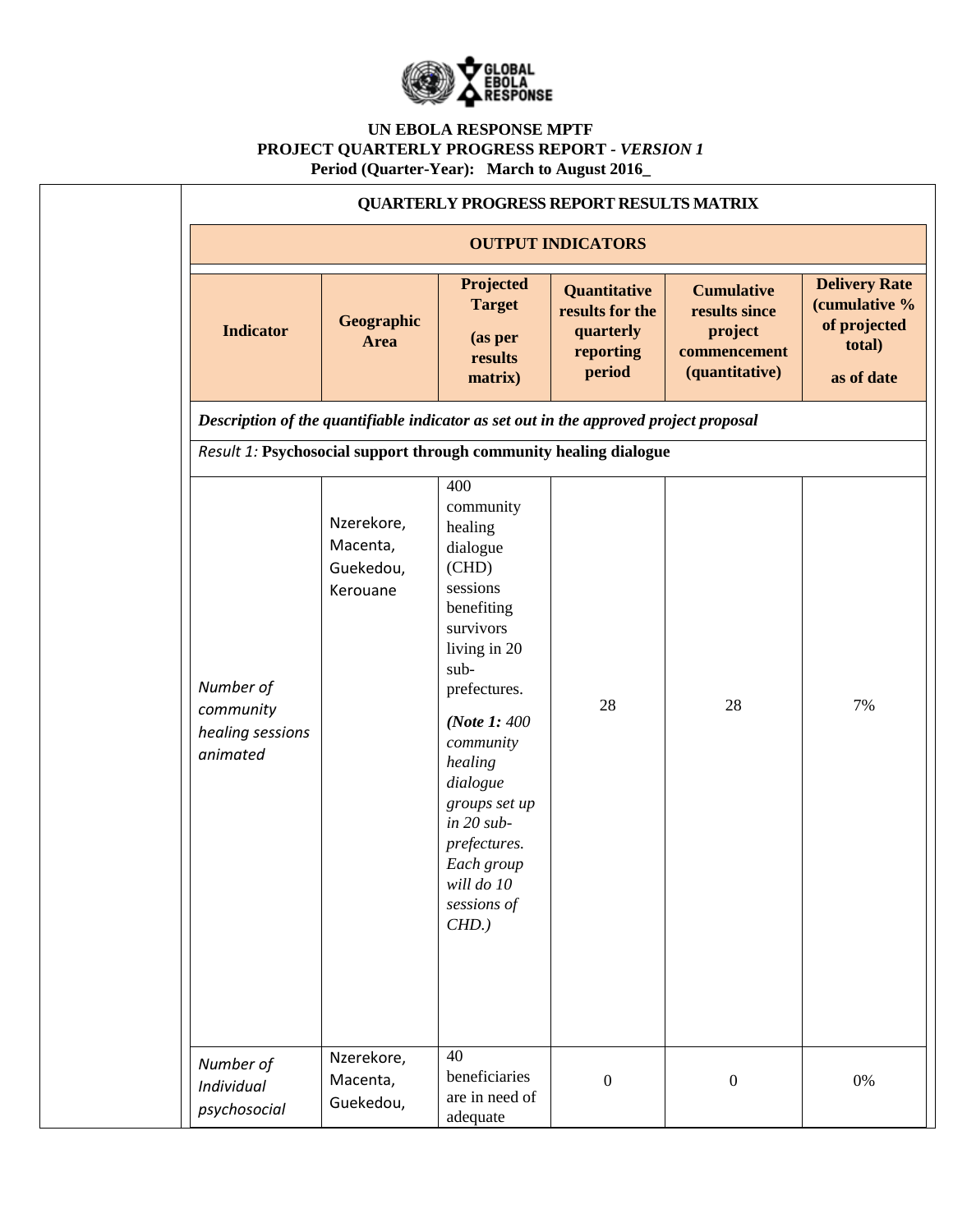

|                                                                                                                                                            |                                                 |                                                                                                                                                                                                                                                                                              | <b>QUARTERLY PROGRESS REPORT RESULTS MATRIX</b>                     |                                                                                 |                                                                               |  |  |  |  |  |
|------------------------------------------------------------------------------------------------------------------------------------------------------------|-------------------------------------------------|----------------------------------------------------------------------------------------------------------------------------------------------------------------------------------------------------------------------------------------------------------------------------------------------|---------------------------------------------------------------------|---------------------------------------------------------------------------------|-------------------------------------------------------------------------------|--|--|--|--|--|
| <b>OUTPUT INDICATORS</b>                                                                                                                                   |                                                 |                                                                                                                                                                                                                                                                                              |                                                                     |                                                                                 |                                                                               |  |  |  |  |  |
| <b>Indicator</b>                                                                                                                                           | Geographic<br><b>Area</b>                       | Projected<br><b>Target</b><br>(as per<br>results<br>matrix)                                                                                                                                                                                                                                  | Quantitative<br>results for the<br>quarterly<br>reporting<br>period | <b>Cumulative</b><br>results since<br>project<br>commencement<br>(quantitative) | <b>Delivery Rate</b><br>(cumulative %<br>of projected<br>total)<br>as of date |  |  |  |  |  |
| Description of the quantifiable indicator as set out in the approved project proposal<br>Result 1: Psychosocial support through community healing dialogue |                                                 |                                                                                                                                                                                                                                                                                              |                                                                     |                                                                                 |                                                                               |  |  |  |  |  |
| Number of<br>community<br>healing sessions<br>animated                                                                                                     | Nzerekore,<br>Macenta,<br>Guekedou,<br>Kerouane | 400<br>community<br>healing<br>dialogue<br>(CHD)<br>sessions<br>benefiting<br>survivors<br>living in 20<br>sub-<br>prefectures.<br>(Note 1: 400)<br>community<br>healing<br>dialogue<br>groups set up<br>$in 20 sub-$<br>prefectures.<br>Each group<br>will do 10<br>sessions of<br>$CHD.$ ) | 28                                                                  | 28                                                                              | 7%                                                                            |  |  |  |  |  |
| Number of<br>Individual<br>psychosocial                                                                                                                    | Nzerekore,<br>Macenta,<br>Guekedou,             | 40<br>beneficiaries<br>are in need of<br>adequate                                                                                                                                                                                                                                            | $\boldsymbol{0}$                                                    | $\boldsymbol{0}$                                                                | $0\%$                                                                         |  |  |  |  |  |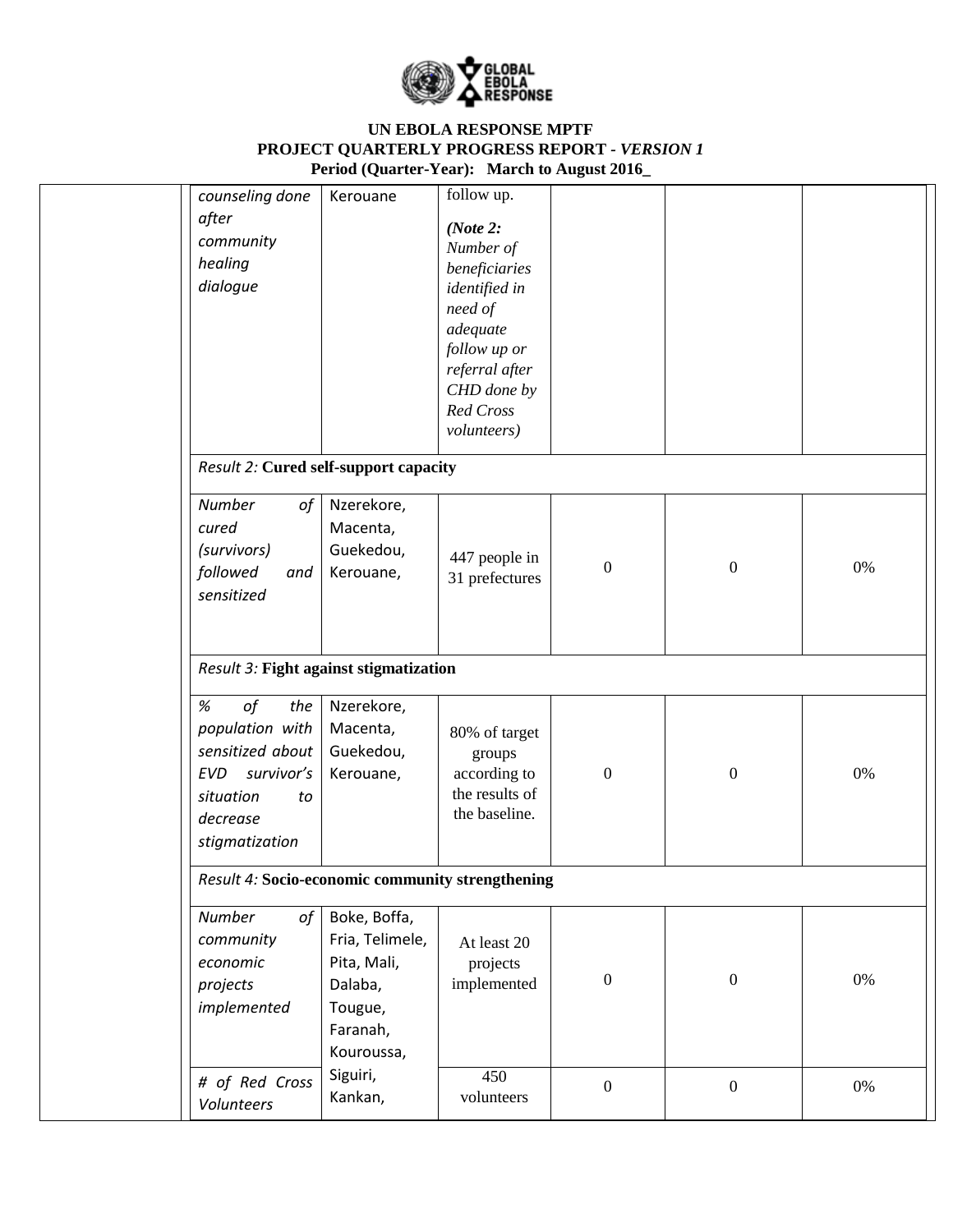

| counseling done<br>after<br>community<br>healing<br>dialogue                                                                          | Kerouane                                                                                       | follow up.<br>(Note $2$ :<br>Number of<br>beneficiaries<br>identified in<br>need of<br>adequate<br>follow up or<br>referral after<br>CHD done by<br>Red Cross<br>volunteers) |                  |                  |       |
|---------------------------------------------------------------------------------------------------------------------------------------|------------------------------------------------------------------------------------------------|------------------------------------------------------------------------------------------------------------------------------------------------------------------------------|------------------|------------------|-------|
| Result 2: Cured self-support capacity                                                                                                 |                                                                                                |                                                                                                                                                                              |                  |                  |       |
| Number<br>of<br>cured<br>(survivors)<br>followed<br>and<br>sensitized                                                                 | Nzerekore,<br>Macenta,<br>Guekedou,<br>Kerouane,                                               | 447 people in<br>31 prefectures                                                                                                                                              | $\boldsymbol{0}$ | $\overline{0}$   | 0%    |
| Result 3: Fight against stigmatization                                                                                                |                                                                                                |                                                                                                                                                                              |                  |                  |       |
| of<br>$\%$<br>the<br>population with<br>sensitized about<br>survivor's<br><b>EVD</b><br>situation<br>to<br>decrease<br>stigmatization | Nzerekore,<br>Macenta,<br>Guekedou,<br>Kerouane,                                               | 80% of target<br>groups<br>according to<br>the results of<br>the baseline.                                                                                                   | $\boldsymbol{0}$ | $\boldsymbol{0}$ | 0%    |
| Result 4: Socio-economic community strengthening                                                                                      |                                                                                                |                                                                                                                                                                              |                  |                  |       |
| Number<br>of<br>community<br>economic<br>projects<br>implemented                                                                      | Boke, Boffa,<br>Fria, Telimele,<br>Pita, Mali,<br>Dalaba,<br>Tougue,<br>Faranah,<br>Kouroussa, | At least 20<br>projects<br>implemented                                                                                                                                       | $\boldsymbol{0}$ | $\boldsymbol{0}$ | $0\%$ |
| # of Red Cross<br>Volunteers                                                                                                          | Siguiri,<br>Kankan,                                                                            | 450<br>volunteers                                                                                                                                                            | $\boldsymbol{0}$ | $\boldsymbol{0}$ | 0%    |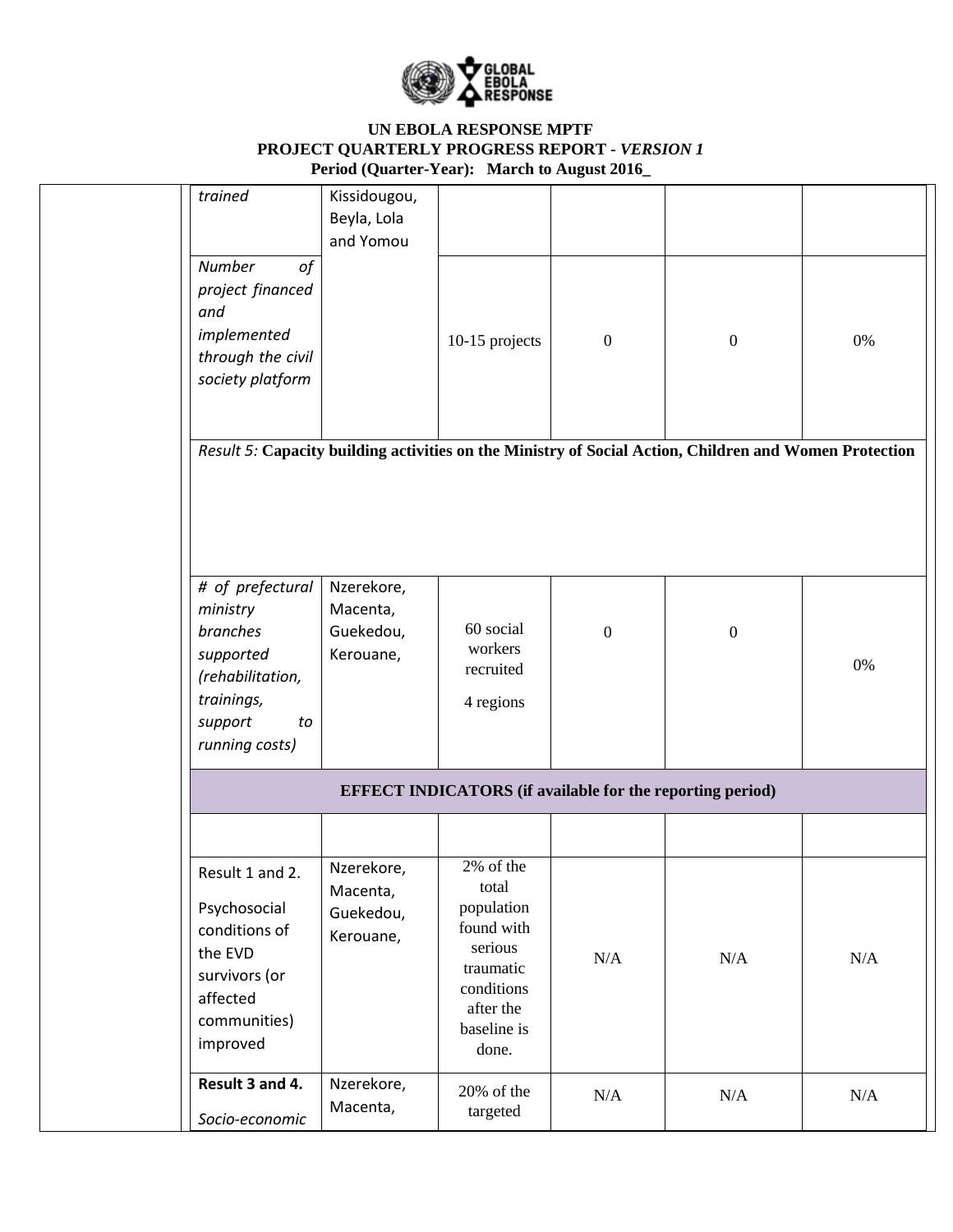

| trained                                                                                                                    | Kissidougou,<br>Beyla, Lola<br>and Yomou         |                                                                                                                           |                  |                                                                                                        |       |
|----------------------------------------------------------------------------------------------------------------------------|--------------------------------------------------|---------------------------------------------------------------------------------------------------------------------------|------------------|--------------------------------------------------------------------------------------------------------|-------|
| <b>Number</b><br>0f<br>project financed<br>and<br>implemented<br>through the civil<br>society platform                     |                                                  | 10-15 projects                                                                                                            | $\boldsymbol{0}$ | $\boldsymbol{0}$                                                                                       | 0%    |
|                                                                                                                            |                                                  |                                                                                                                           |                  | Result 5: Capacity building activities on the Ministry of Social Action, Children and Women Protection |       |
|                                                                                                                            |                                                  |                                                                                                                           |                  |                                                                                                        |       |
| # of prefectural<br>ministry<br>branches<br>supported<br>(rehabilitation,<br>trainings,<br>support<br>to<br>running costs) | Nzerekore,<br>Macenta,<br>Guekedou,<br>Kerouane, | 60 social<br>workers<br>recruited<br>4 regions                                                                            | $\boldsymbol{0}$ | $\boldsymbol{0}$                                                                                       | $0\%$ |
|                                                                                                                            |                                                  | <b>EFFECT INDICATORS</b> (if available for the reporting period)                                                          |                  |                                                                                                        |       |
| Result 1 and 2.<br>Psychosocial<br>conditions of<br>the EVD<br>survivors (or<br>affected<br>communities)<br>improved       | Nzerekore,<br>Macenta,<br>Guekedou,<br>Kerouane, | 2% of the<br>total<br>population<br>found with<br>serious<br>traumatic<br>conditions<br>after the<br>baseline is<br>done. | N/A              | $\rm N/A$                                                                                              | N/A   |
| Result 3 and 4.<br>Socio-economic                                                                                          | Nzerekore,<br>Macenta,                           | 20% of the<br>targeted                                                                                                    | N/A              | N/A                                                                                                    | N/A   |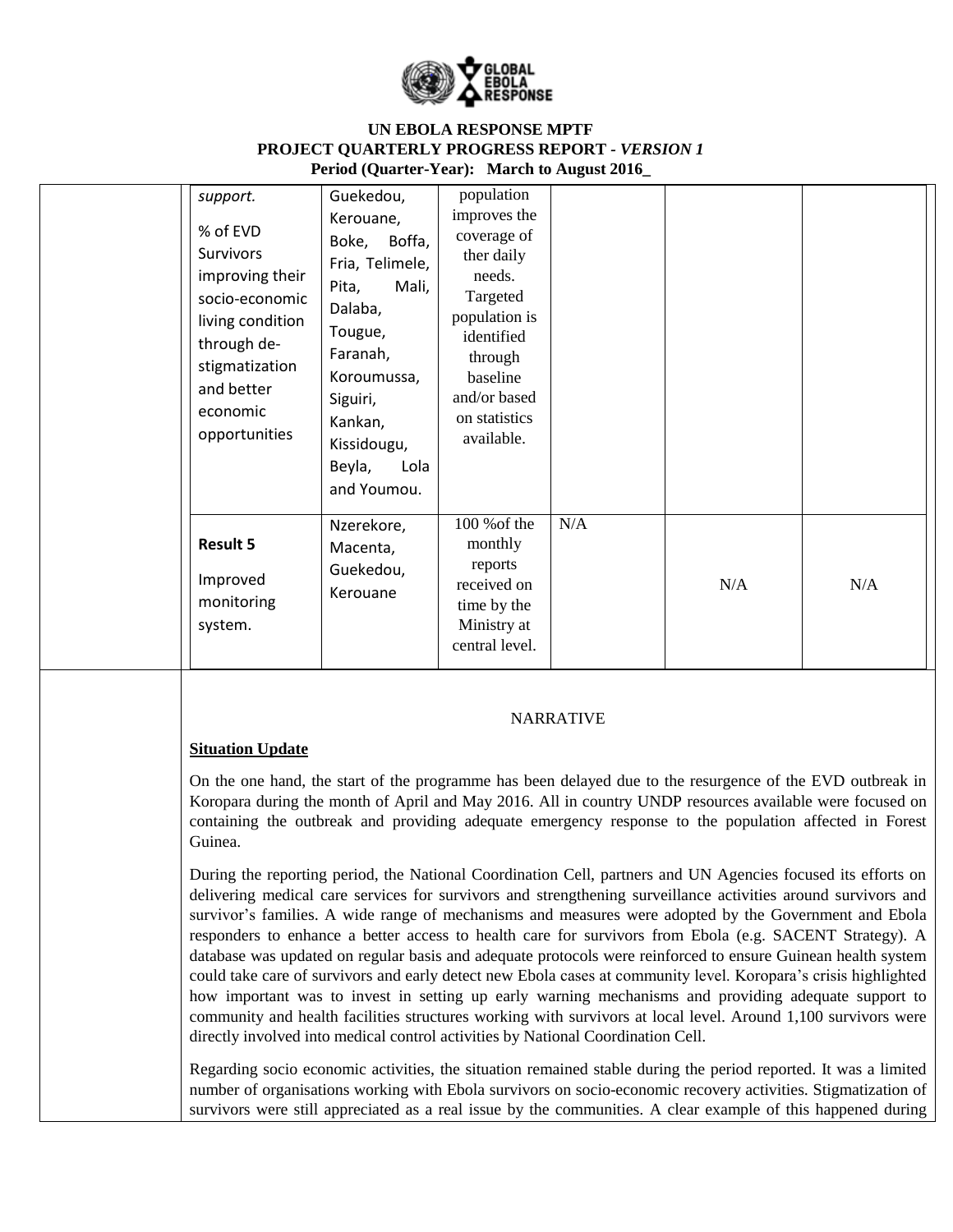

| support.<br>% of EVD<br>Survivors<br>improving their<br>socio-economic<br>living condition<br>through de-<br>stigmatization<br>and better<br>economic<br>opportunities | Guekedou,<br>Kerouane,<br>Boffa,<br>Boke,<br>Fria, Telimele,<br>Mali,<br>Pita,<br>Dalaba,<br>Tougue,<br>Faranah,<br>Koroumussa,<br>Siguiri,<br>Kankan,<br>Kissidougu,<br>Beyla,<br>Lola<br>and Youmou. | population<br>improves the<br>coverage of<br>ther daily<br>needs.<br>Targeted<br>population is<br>identified<br>through<br>baseline<br>and/or based<br>on statistics<br>available. |     |     |     |
|------------------------------------------------------------------------------------------------------------------------------------------------------------------------|--------------------------------------------------------------------------------------------------------------------------------------------------------------------------------------------------------|------------------------------------------------------------------------------------------------------------------------------------------------------------------------------------|-----|-----|-----|
| <b>Result 5</b><br>Improved<br>monitoring<br>system.                                                                                                                   | Nzerekore,<br>Macenta,<br>Guekedou,<br>Kerouane                                                                                                                                                        | 100 % of the<br>monthly<br>reports<br>received on<br>time by the<br>Ministry at<br>central level.                                                                                  | N/A | N/A | N/A |

#### NARRATIVE

### **Situation Update**

On the one hand, the start of the programme has been delayed due to the resurgence of the EVD outbreak in Koropara during the month of April and May 2016. All in country UNDP resources available were focused on containing the outbreak and providing adequate emergency response to the population affected in Forest Guinea.

During the reporting period, the National Coordination Cell, partners and UN Agencies focused its efforts on delivering medical care services for survivors and strengthening surveillance activities around survivors and survivor's families. A wide range of mechanisms and measures were adopted by the Government and Ebola responders to enhance a better access to health care for survivors from Ebola (e.g. SACENT Strategy). A database was updated on regular basis and adequate protocols were reinforced to ensure Guinean health system could take care of survivors and early detect new Ebola cases at community level. Koropara's crisis highlighted how important was to invest in setting up early warning mechanisms and providing adequate support to community and health facilities structures working with survivors at local level. Around 1,100 survivors were directly involved into medical control activities by National Coordination Cell.

Regarding socio economic activities, the situation remained stable during the period reported. It was a limited number of organisations working with Ebola survivors on socio-economic recovery activities. Stigmatization of survivors were still appreciated as a real issue by the communities. A clear example of this happened during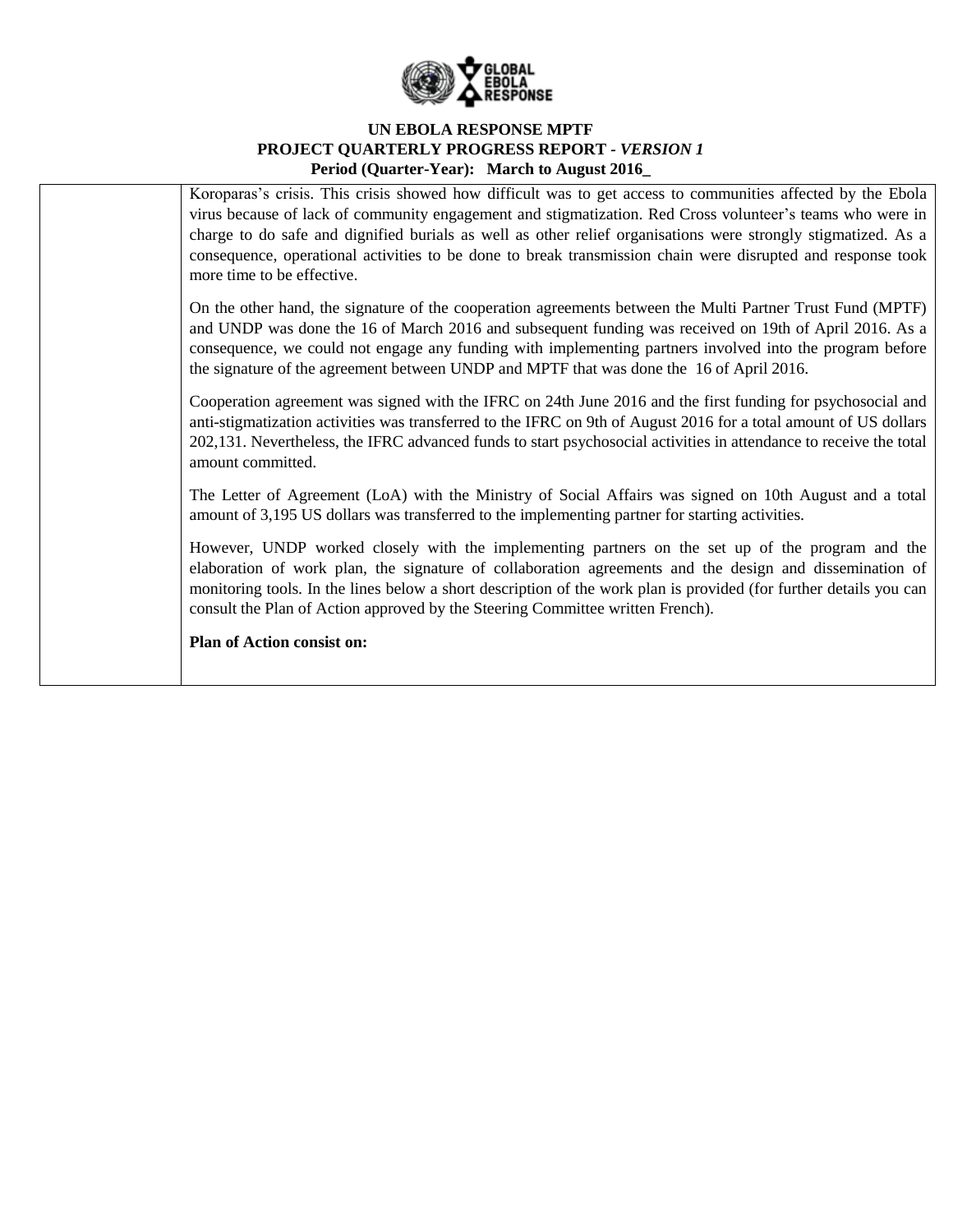

Koroparas's crisis. This crisis showed how difficult was to get access to communities affected by the Ebola virus because of lack of community engagement and stigmatization. Red Cross volunteer's teams who were in charge to do safe and dignified burials as well as other relief organisations were strongly stigmatized. As a consequence, operational activities to be done to break transmission chain were disrupted and response took more time to be effective.

On the other hand, the signature of the cooperation agreements between the Multi Partner Trust Fund (MPTF) and UNDP was done the 16 of March 2016 and subsequent funding was received on 19th of April 2016. As a consequence, we could not engage any funding with implementing partners involved into the program before the signature of the agreement between UNDP and MPTF that was done the 16 of April 2016.

Cooperation agreement was signed with the IFRC on 24th June 2016 and the first funding for psychosocial and anti-stigmatization activities was transferred to the IFRC on 9th of August 2016 for a total amount of US dollars 202,131. Nevertheless, the IFRC advanced funds to start psychosocial activities in attendance to receive the total amount committed.

The Letter of Agreement (LoA) with the Ministry of Social Affairs was signed on 10th August and a total amount of 3,195 US dollars was transferred to the implementing partner for starting activities.

However, UNDP worked closely with the implementing partners on the set up of the program and the elaboration of work plan, the signature of collaboration agreements and the design and dissemination of monitoring tools. In the lines below a short description of the work plan is provided (for further details you can consult the Plan of Action approved by the Steering Committee written French).

**Plan of Action consist on:**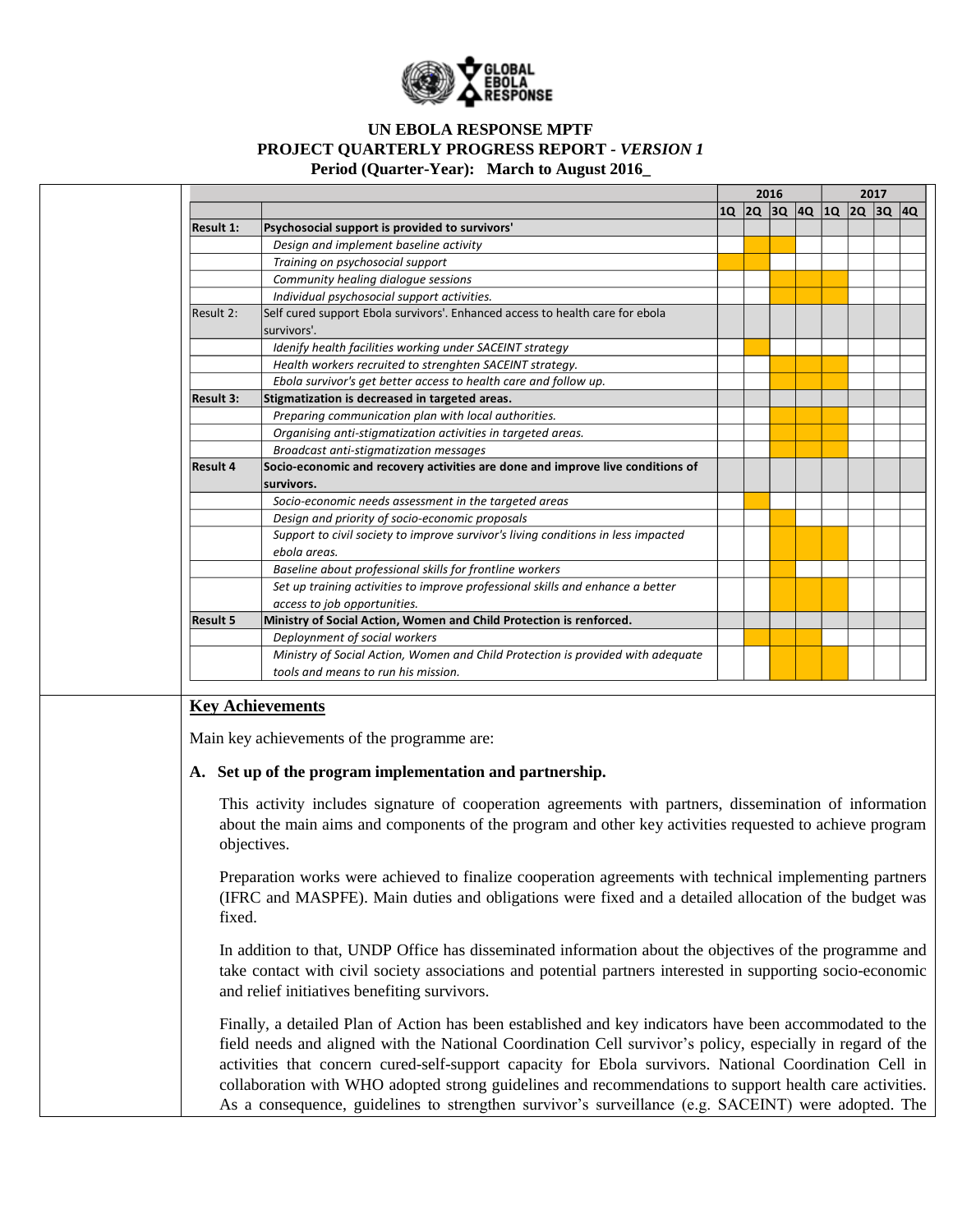

|                  |                                                                                                                                                                                                                                                                                                                              |  | 2016 | 2017 |                         |  |  |
|------------------|------------------------------------------------------------------------------------------------------------------------------------------------------------------------------------------------------------------------------------------------------------------------------------------------------------------------------|--|------|------|-------------------------|--|--|
|                  |                                                                                                                                                                                                                                                                                                                              |  |      |      |                         |  |  |
| <b>Result 1:</b> | Psychosocial support is provided to survivors'                                                                                                                                                                                                                                                                               |  |      |      |                         |  |  |
|                  | Design and implement baseline activity                                                                                                                                                                                                                                                                                       |  |      |      |                         |  |  |
|                  | Training on psychosocial support                                                                                                                                                                                                                                                                                             |  |      |      | 10 20 30 40 10 20 30 40 |  |  |
|                  | Community healing dialogue sessions                                                                                                                                                                                                                                                                                          |  |      |      |                         |  |  |
|                  | Individual psychosocial support activities.                                                                                                                                                                                                                                                                                  |  |      |      |                         |  |  |
| Result 2:        | Self cured support Ebola survivors'. Enhanced access to health care for ebola                                                                                                                                                                                                                                                |  |      |      |                         |  |  |
|                  | survivors'.                                                                                                                                                                                                                                                                                                                  |  |      |      |                         |  |  |
|                  | Idenify health facilities working under SACEINT strategy                                                                                                                                                                                                                                                                     |  |      |      |                         |  |  |
|                  | Health workers recruited to strenghten SACEINT strategy.                                                                                                                                                                                                                                                                     |  |      |      |                         |  |  |
|                  | Ebola survivor's get better access to health care and follow up.                                                                                                                                                                                                                                                             |  |      |      |                         |  |  |
| <b>Result 3:</b> | Stigmatization is decreased in targeted areas.                                                                                                                                                                                                                                                                               |  |      |      |                         |  |  |
|                  | Preparing communication plan with local authorities.                                                                                                                                                                                                                                                                         |  |      |      |                         |  |  |
|                  | Organising anti-stigmatization activities in targeted areas.                                                                                                                                                                                                                                                                 |  |      |      |                         |  |  |
|                  | Broadcast anti-stigmatization messages                                                                                                                                                                                                                                                                                       |  |      |      |                         |  |  |
| <b>Result 4</b>  | Socio-economic and recovery activities are done and improve live conditions of                                                                                                                                                                                                                                               |  |      |      |                         |  |  |
|                  | survivors.                                                                                                                                                                                                                                                                                                                   |  |      |      |                         |  |  |
|                  | Socio-economic needs assessment in the targeted areas                                                                                                                                                                                                                                                                        |  |      |      |                         |  |  |
|                  | Design and priority of socio-economic proposals                                                                                                                                                                                                                                                                              |  |      |      |                         |  |  |
|                  | Support to civil society to improve survivor's living conditions in less impacted                                                                                                                                                                                                                                            |  |      |      |                         |  |  |
|                  | ebola areas.                                                                                                                                                                                                                                                                                                                 |  |      |      |                         |  |  |
|                  | Baseline about professional skills for frontline workers                                                                                                                                                                                                                                                                     |  |      |      |                         |  |  |
|                  | Set up training activities to improve professional skills and enhance a better                                                                                                                                                                                                                                               |  |      |      |                         |  |  |
|                  | access to job opportunities.                                                                                                                                                                                                                                                                                                 |  |      |      |                         |  |  |
| <b>Result 5</b>  | Ministry of Social Action, Women and Child Protection is renforced.                                                                                                                                                                                                                                                          |  |      |      |                         |  |  |
|                  | Deploynment of social workers                                                                                                                                                                                                                                                                                                |  |      |      |                         |  |  |
|                  | Ministry of Social Action, Women and Child Protection is provided with adequate                                                                                                                                                                                                                                              |  |      |      |                         |  |  |
|                  | tools and means to run his mission.                                                                                                                                                                                                                                                                                          |  |      |      |                         |  |  |
|                  | Main key achievements of the programme are:<br>A. Set up of the program implementation and partnership.<br>This activity includes signature of cooperation agreements with partners, dissemination of information<br>about the main aims and components of the program and other key activities requested to achieve program |  |      |      |                         |  |  |
| fixed.           | objectives.<br>Preparation works were achieved to finalize cooperation agreements with technical implementing partners<br>(IFRC and MASPFE). Main duties and obligations were fixed and a detailed allocation of the budget was                                                                                              |  |      |      |                         |  |  |
|                  | In addition to that, UNDP Office has disseminated information about the objectives of the programme and<br>take contact with civil society associations and potential partners interested in supporting socio-economic<br>and relief initiatives benefiting survivors.                                                       |  |      |      |                         |  |  |
|                  | Finally, a detailed Plan of Action has been established and key indicators have been accommodated to the<br>$\Lambda$ . Material $\Omega$ continuities $\Omega$ . 11 minutes                                                                                                                                                 |  |      |      |                         |  |  |

field needs and aligned with the National Coordination Cell survivor's policy, especially in regard of the activities that concern cured-self-support capacity for Ebola survivors. National Coordination Cell in collaboration with WHO adopted strong guidelines and recommendations to support health care activities. As a consequence, guidelines to strengthen survivor's surveillance (e.g. SACEINT) were adopted. The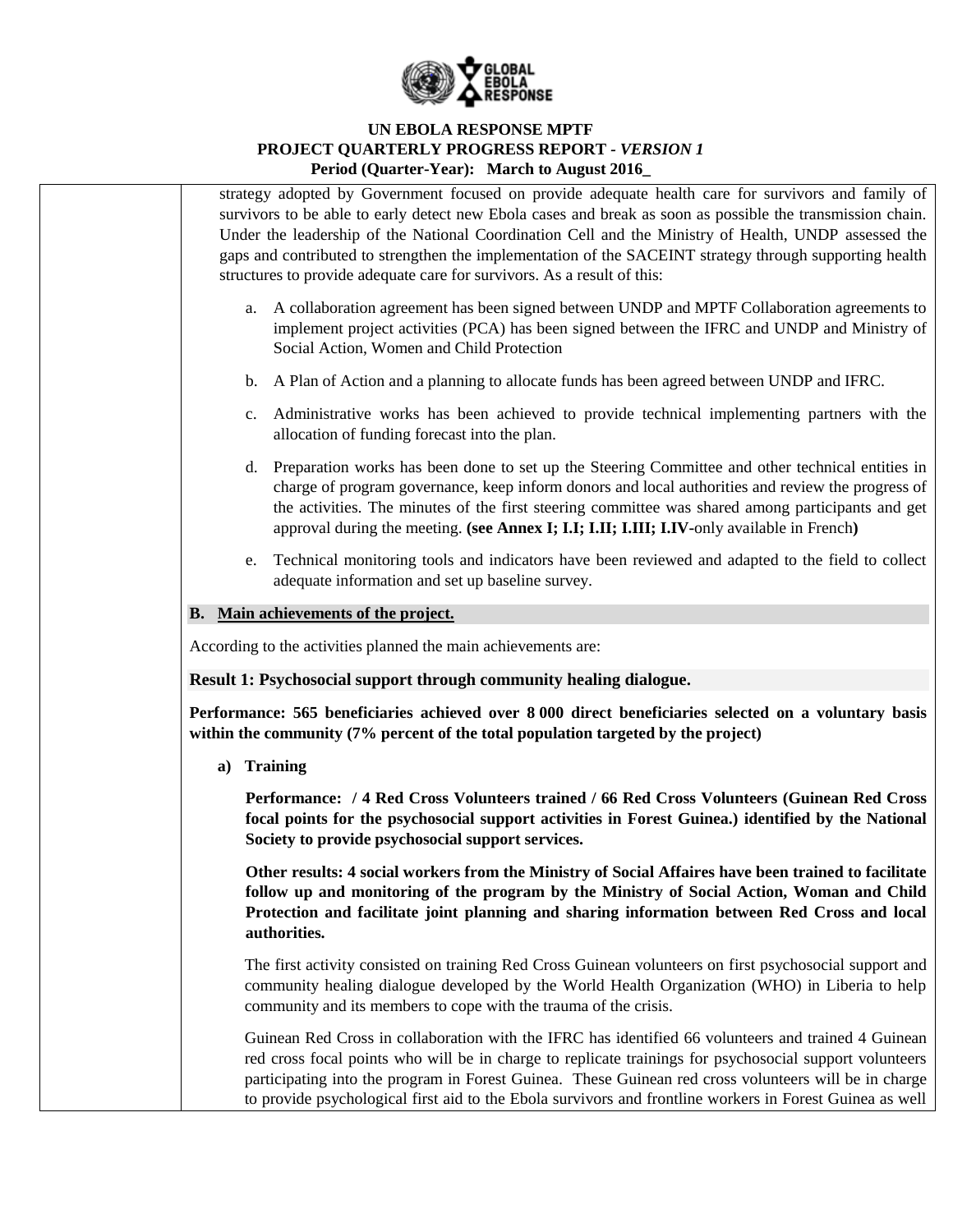

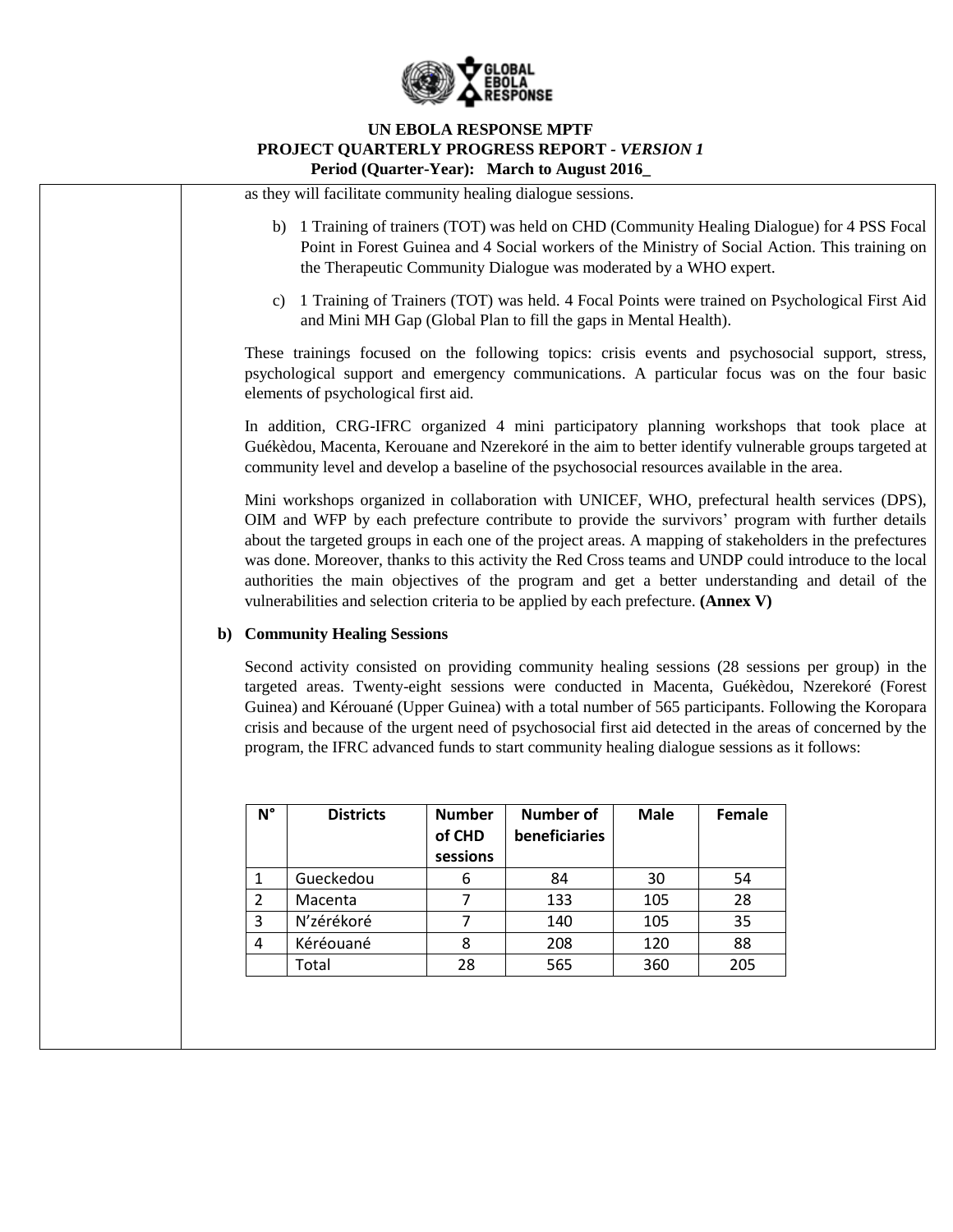

as they will facilitate community healing dialogue sessions.

- b) 1 Training of trainers (TOT) was held on CHD (Community Healing Dialogue) for 4 PSS Focal Point in Forest Guinea and 4 Social workers of the Ministry of Social Action. This training on the Therapeutic Community Dialogue was moderated by a WHO expert.
- c) 1 Training of Trainers (TOT) was held. 4 Focal Points were trained on Psychological First Aid and Mini MH Gap (Global Plan to fill the gaps in Mental Health).

These trainings focused on the following topics: crisis events and psychosocial support, stress, psychological support and emergency communications. A particular focus was on the four basic elements of psychological first aid.

In addition, CRG-IFRC organized 4 mini participatory planning workshops that took place at Guékèdou, Macenta, Kerouane and Nzerekoré in the aim to better identify vulnerable groups targeted at community level and develop a baseline of the psychosocial resources available in the area.

Mini workshops organized in collaboration with UNICEF, WHO, prefectural health services (DPS), OIM and WFP by each prefecture contribute to provide the survivors' program with further details about the targeted groups in each one of the project areas. A mapping of stakeholders in the prefectures was done. Moreover, thanks to this activity the Red Cross teams and UNDP could introduce to the local authorities the main objectives of the program and get a better understanding and detail of the vulnerabilities and selection criteria to be applied by each prefecture. **(Annex V)**

### **b) Community Healing Sessions**

Second activity consisted on providing community healing sessions (28 sessions per group) in the targeted areas. Twenty-eight sessions were conducted in Macenta, Guékèdou, Nzerekoré (Forest Guinea) and Kérouané (Upper Guinea) with a total number of 565 participants. Following the Koropara crisis and because of the urgent need of psychosocial first aid detected in the areas of concerned by the program, the IFRC advanced funds to start community healing dialogue sessions as it follows:

| N°             | <b>Districts</b> | <b>Number</b><br>of CHD<br>sessions | Number of<br>beneficiaries | <b>Male</b> | Female |
|----------------|------------------|-------------------------------------|----------------------------|-------------|--------|
|                | Gueckedou        | 6                                   | 84                         | 30          | 54     |
| $\overline{2}$ | Macenta          |                                     | 133                        | 105         | 28     |
| 3              | N'zérékoré       |                                     | 140                        | 105         | 35     |
| 4              | Kéréouané        |                                     | 208                        | 120         | 88     |
|                | Total            | 28                                  | 565                        | 360         | 205    |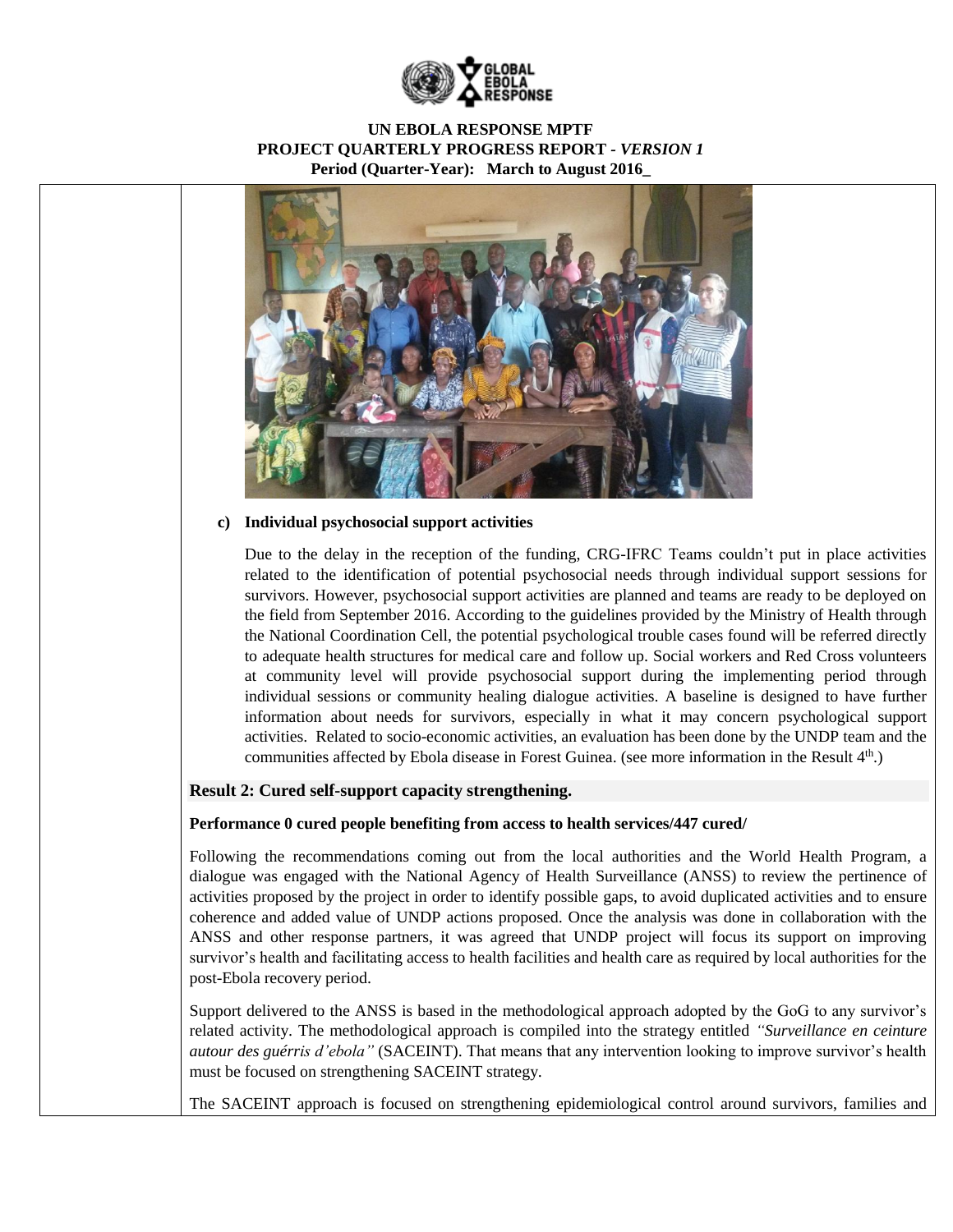



### **c) Individual psychosocial support activities**

Due to the delay in the reception of the funding, CRG-IFRC Teams couldn't put in place activities related to the identification of potential psychosocial needs through individual support sessions for survivors. However, psychosocial support activities are planned and teams are ready to be deployed on the field from September 2016. According to the guidelines provided by the Ministry of Health through the National Coordination Cell, the potential psychological trouble cases found will be referred directly to adequate health structures for medical care and follow up. Social workers and Red Cross volunteers at community level will provide psychosocial support during the implementing period through individual sessions or community healing dialogue activities. A baseline is designed to have further information about needs for survivors, especially in what it may concern psychological support activities. Related to socio-economic activities, an evaluation has been done by the UNDP team and the communities affected by Ebola disease in Forest Guinea. (see more information in the Result 4<sup>th</sup>.)

### **Result 2: Cured self-support capacity strengthening.**

#### **Performance 0 cured people benefiting from access to health services/447 cured/**

Following the recommendations coming out from the local authorities and the World Health Program, a dialogue was engaged with the National Agency of Health Surveillance (ANSS) to review the pertinence of activities proposed by the project in order to identify possible gaps, to avoid duplicated activities and to ensure coherence and added value of UNDP actions proposed. Once the analysis was done in collaboration with the ANSS and other response partners, it was agreed that UNDP project will focus its support on improving survivor's health and facilitating access to health facilities and health care as required by local authorities for the post-Ebola recovery period.

Support delivered to the ANSS is based in the methodological approach adopted by the GoG to any survivor's related activity. The methodological approach is compiled into the strategy entitled *"Surveillance en ceinture autour des guérris d'ebola"* (SACEINT). That means that any intervention looking to improve survivor's health must be focused on strengthening SACEINT strategy.

The SACEINT approach is focused on strengthening epidemiological control around survivors, families and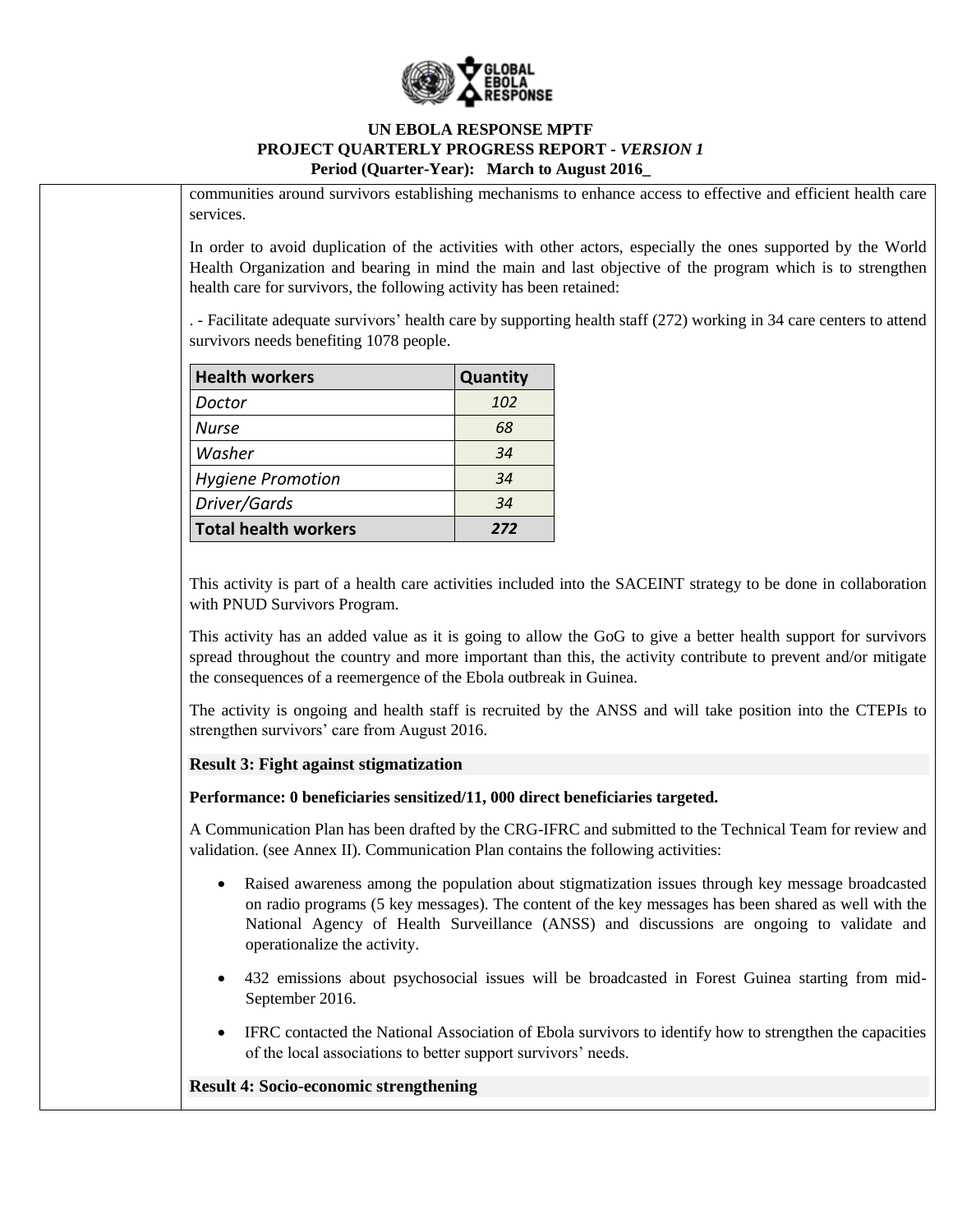

communities around survivors establishing mechanisms to enhance access to effective and efficient health care services.

In order to avoid duplication of the activities with other actors, especially the ones supported by the World Health Organization and bearing in mind the main and last objective of the program which is to strengthen health care for survivors, the following activity has been retained:

. - Facilitate adequate survivors' health care by supporting health staff (272) working in 34 care centers to attend survivors needs benefiting 1078 people.

| <b>Health workers</b>       | <b>Quantity</b> |
|-----------------------------|-----------------|
| Doctor                      | 102             |
| <b>Nurse</b>                | 68              |
| Washer                      | 34              |
| <b>Hygiene Promotion</b>    | 34              |
| Driver/Gards                | 34              |
| <b>Total health workers</b> | 272             |

This activity is part of a health care activities included into the SACEINT strategy to be done in collaboration with PNUD Survivors Program.

This activity has an added value as it is going to allow the GoG to give a better health support for survivors spread throughout the country and more important than this, the activity contribute to prevent and/or mitigate the consequences of a reemergence of the Ebola outbreak in Guinea.

The activity is ongoing and health staff is recruited by the ANSS and will take position into the CTEPIs to strengthen survivors' care from August 2016.

### **Result 3: Fight against stigmatization**

**Performance: 0 beneficiaries sensitized/11, 000 direct beneficiaries targeted.**

A Communication Plan has been drafted by the CRG-IFRC and submitted to the Technical Team for review and validation. (see Annex II). Communication Plan contains the following activities:

- Raised awareness among the population about stigmatization issues through key message broadcasted on radio programs (5 key messages). The content of the key messages has been shared as well with the National Agency of Health Surveillance (ANSS) and discussions are ongoing to validate and operationalize the activity.
- 432 emissions about psychosocial issues will be broadcasted in Forest Guinea starting from mid-September 2016.
- IFRC contacted the National Association of Ebola survivors to identify how to strengthen the capacities of the local associations to better support survivors' needs.

### **Result 4: Socio-economic strengthening**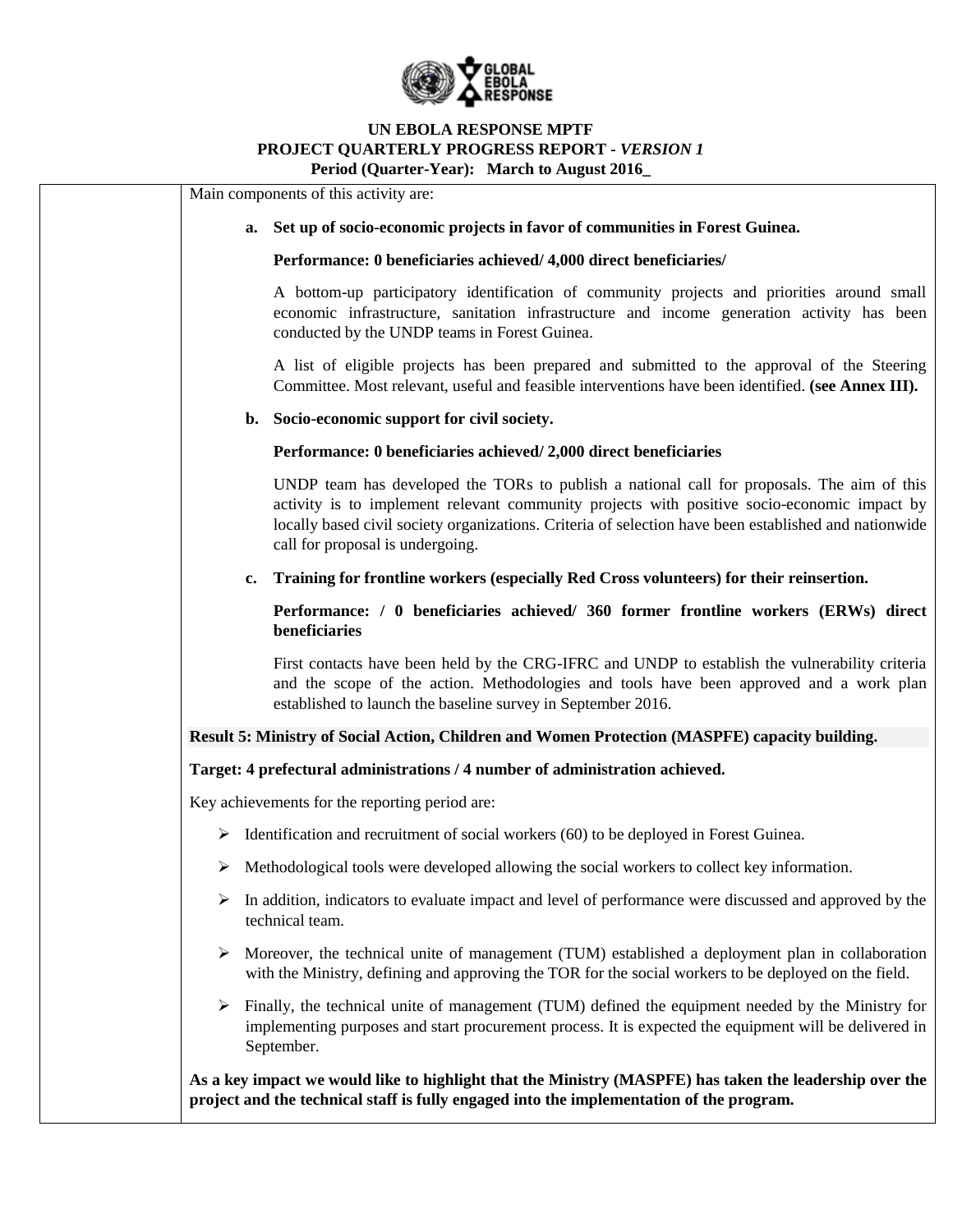

|   |    | Main components of this activity are:                                                                                                                                                                                                                                                                                                  |
|---|----|----------------------------------------------------------------------------------------------------------------------------------------------------------------------------------------------------------------------------------------------------------------------------------------------------------------------------------------|
|   | a. | Set up of socio-economic projects in favor of communities in Forest Guinea.                                                                                                                                                                                                                                                            |
|   |    | Performance: 0 beneficiaries achieved/ 4,000 direct beneficiaries/                                                                                                                                                                                                                                                                     |
|   |    | A bottom-up participatory identification of community projects and priorities around small<br>economic infrastructure, sanitation infrastructure and income generation activity has been<br>conducted by the UNDP teams in Forest Guinea.                                                                                              |
|   |    | A list of eligible projects has been prepared and submitted to the approval of the Steering<br>Committee. Most relevant, useful and feasible interventions have been identified. (see Annex III).                                                                                                                                      |
|   | b. | Socio-economic support for civil society.                                                                                                                                                                                                                                                                                              |
|   |    | Performance: 0 beneficiaries achieved/2,000 direct beneficiaries                                                                                                                                                                                                                                                                       |
|   |    | UNDP team has developed the TORs to publish a national call for proposals. The aim of this<br>activity is to implement relevant community projects with positive socio-economic impact by<br>locally based civil society organizations. Criteria of selection have been established and nationwide<br>call for proposal is undergoing. |
|   | c. | Training for frontline workers (especially Red Cross volunteers) for their reinsertion.                                                                                                                                                                                                                                                |
|   |    | Performance: / 0 beneficiaries achieved/ 360 former frontline workers (ERWs) direct<br>beneficiaries                                                                                                                                                                                                                                   |
|   |    | First contacts have been held by the CRG-IFRC and UNDP to establish the vulnerability criteria<br>and the scope of the action. Methodologies and tools have been approved and a work plan<br>established to launch the baseline survey in September 2016.                                                                              |
|   |    | Result 5: Ministry of Social Action, Children and Women Protection (MASPFE) capacity building.                                                                                                                                                                                                                                         |
|   |    | Target: 4 prefectural administrations / 4 number of administration achieved.                                                                                                                                                                                                                                                           |
|   |    | Key achievements for the reporting period are:                                                                                                                                                                                                                                                                                         |
| ➤ |    | Identification and recruitment of social workers (60) to be deployed in Forest Guinea.                                                                                                                                                                                                                                                 |
| ➤ |    | Methodological tools were developed allowing the social workers to collect key information.                                                                                                                                                                                                                                            |
| ➤ |    | In addition, indicators to evaluate impact and level of performance were discussed and approved by the<br>technical team.                                                                                                                                                                                                              |
| ➤ |    | Moreover, the technical unite of management (TUM) established a deployment plan in collaboration<br>with the Ministry, defining and approving the TOR for the social workers to be deployed on the field.                                                                                                                              |
| ➤ |    | Finally, the technical unite of management (TUM) defined the equipment needed by the Ministry for<br>implementing purposes and start procurement process. It is expected the equipment will be delivered in<br>September.                                                                                                              |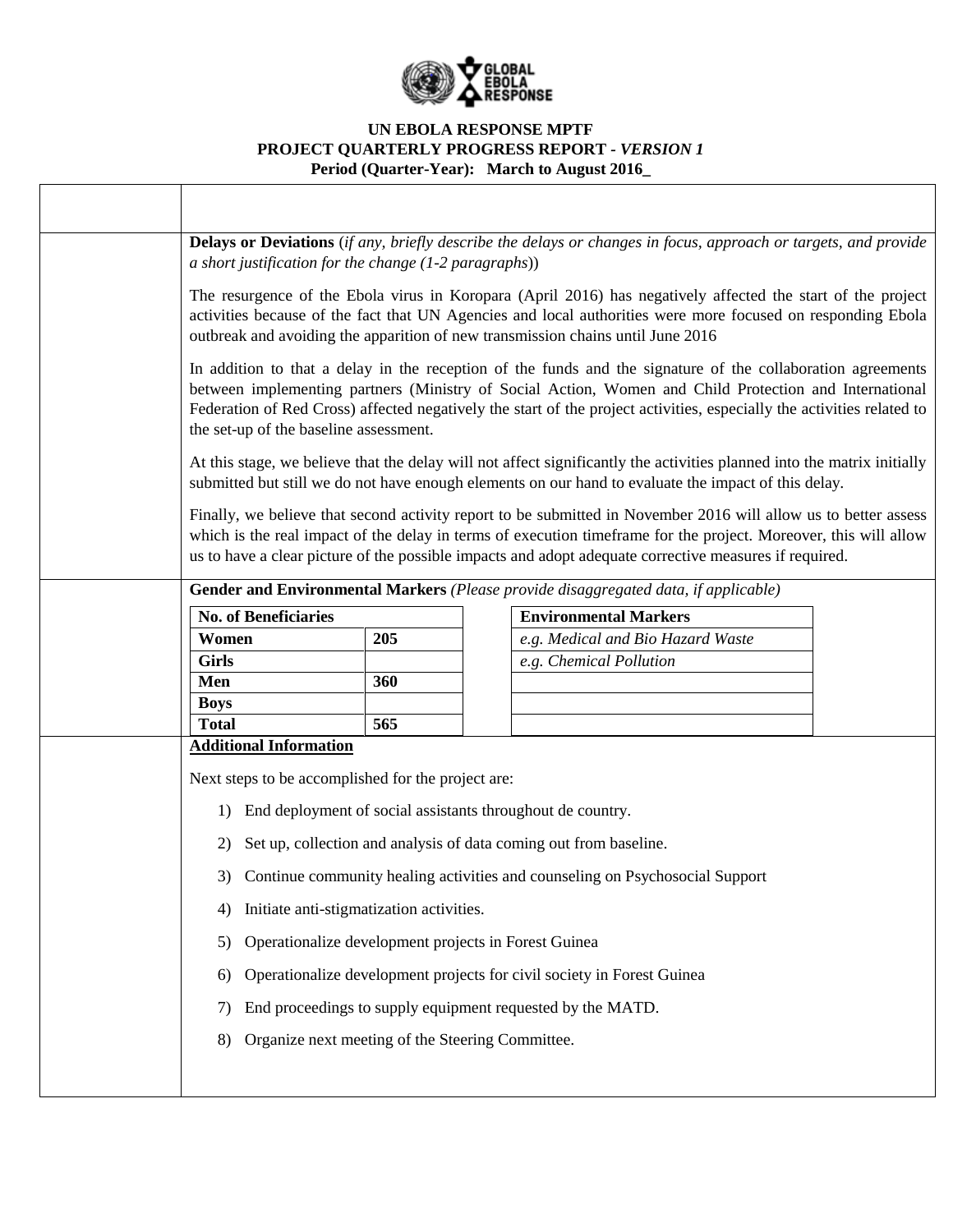

| Delays or Deviations (if any, briefly describe the delays or changes in focus, approach or targets, and provide<br>a short justification for the change $(1-2$ paragraphs))                                                                                                                                                                                                               |     |  |                                                                                                                                                                                                                                 |  |  |  |  |  |  |
|-------------------------------------------------------------------------------------------------------------------------------------------------------------------------------------------------------------------------------------------------------------------------------------------------------------------------------------------------------------------------------------------|-----|--|---------------------------------------------------------------------------------------------------------------------------------------------------------------------------------------------------------------------------------|--|--|--|--|--|--|
| The resurgence of the Ebola virus in Koropara (April 2016) has negatively affected the start of the project<br>activities because of the fact that UN Agencies and local authorities were more focused on responding Ebola<br>outbreak and avoiding the apparition of new transmission chains until June 2016                                                                             |     |  |                                                                                                                                                                                                                                 |  |  |  |  |  |  |
| In addition to that a delay in the reception of the funds and the signature of the collaboration agreements<br>between implementing partners (Ministry of Social Action, Women and Child Protection and International<br>Federation of Red Cross) affected negatively the start of the project activities, especially the activities related to<br>the set-up of the baseline assessment. |     |  |                                                                                                                                                                                                                                 |  |  |  |  |  |  |
|                                                                                                                                                                                                                                                                                                                                                                                           |     |  | At this stage, we believe that the delay will not affect significantly the activities planned into the matrix initially<br>submitted but still we do not have enough elements on our hand to evaluate the impact of this delay. |  |  |  |  |  |  |
| Finally, we believe that second activity report to be submitted in November 2016 will allow us to better assess<br>which is the real impact of the delay in terms of execution timeframe for the project. Moreover, this will allow<br>us to have a clear picture of the possible impacts and adopt adequate corrective measures if required.                                             |     |  |                                                                                                                                                                                                                                 |  |  |  |  |  |  |
|                                                                                                                                                                                                                                                                                                                                                                                           |     |  | Gender and Environmental Markers (Please provide disaggregated data, if applicable)                                                                                                                                             |  |  |  |  |  |  |
| <b>No. of Beneficiaries</b>                                                                                                                                                                                                                                                                                                                                                               |     |  | <b>Environmental Markers</b>                                                                                                                                                                                                    |  |  |  |  |  |  |
| Women                                                                                                                                                                                                                                                                                                                                                                                     | 205 |  | e.g. Medical and Bio Hazard Waste                                                                                                                                                                                               |  |  |  |  |  |  |
| <b>Girls</b>                                                                                                                                                                                                                                                                                                                                                                              |     |  | e.g. Chemical Pollution                                                                                                                                                                                                         |  |  |  |  |  |  |
| Men<br><b>Boys</b>                                                                                                                                                                                                                                                                                                                                                                        | 360 |  |                                                                                                                                                                                                                                 |  |  |  |  |  |  |
| <b>Total</b>                                                                                                                                                                                                                                                                                                                                                                              | 565 |  |                                                                                                                                                                                                                                 |  |  |  |  |  |  |
| <b>Additional Information</b>                                                                                                                                                                                                                                                                                                                                                             |     |  |                                                                                                                                                                                                                                 |  |  |  |  |  |  |
| Next steps to be accomplished for the project are:                                                                                                                                                                                                                                                                                                                                        |     |  |                                                                                                                                                                                                                                 |  |  |  |  |  |  |
| End deployment of social assistants throughout de country.<br>1)                                                                                                                                                                                                                                                                                                                          |     |  |                                                                                                                                                                                                                                 |  |  |  |  |  |  |
| 2)                                                                                                                                                                                                                                                                                                                                                                                        |     |  | Set up, collection and analysis of data coming out from baseline.                                                                                                                                                               |  |  |  |  |  |  |
|                                                                                                                                                                                                                                                                                                                                                                                           |     |  | 3) Continue community healing activities and counseling on Psychosocial Support                                                                                                                                                 |  |  |  |  |  |  |
| Initiate anti-stigmatization activities.<br>4)                                                                                                                                                                                                                                                                                                                                            |     |  |                                                                                                                                                                                                                                 |  |  |  |  |  |  |
| Operationalize development projects in Forest Guinea<br>5)                                                                                                                                                                                                                                                                                                                                |     |  |                                                                                                                                                                                                                                 |  |  |  |  |  |  |
| 6)                                                                                                                                                                                                                                                                                                                                                                                        |     |  | Operationalize development projects for civil society in Forest Guinea                                                                                                                                                          |  |  |  |  |  |  |
| 7)                                                                                                                                                                                                                                                                                                                                                                                        |     |  | End proceedings to supply equipment requested by the MATD.                                                                                                                                                                      |  |  |  |  |  |  |
| Organize next meeting of the Steering Committee.<br>8)                                                                                                                                                                                                                                                                                                                                    |     |  |                                                                                                                                                                                                                                 |  |  |  |  |  |  |
|                                                                                                                                                                                                                                                                                                                                                                                           |     |  |                                                                                                                                                                                                                                 |  |  |  |  |  |  |
|                                                                                                                                                                                                                                                                                                                                                                                           |     |  |                                                                                                                                                                                                                                 |  |  |  |  |  |  |